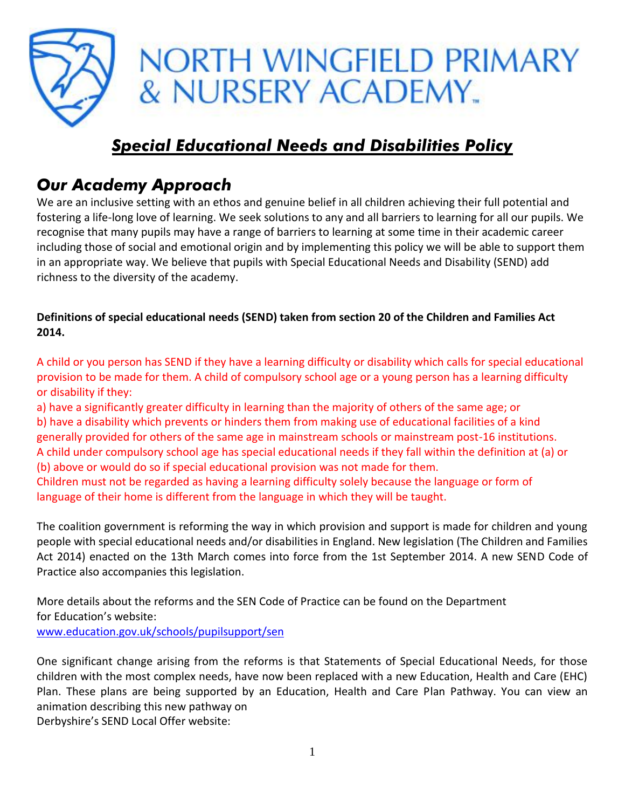

# *Special Educational Needs and Disabilities Policy*

# *Our Academy Approach*

We are an inclusive setting with an ethos and genuine belief in all children achieving their full potential and fostering a life-long love of learning. We seek solutions to any and all barriers to learning for all our pupils. We recognise that many pupils may have a range of barriers to learning at some time in their academic career including those of social and emotional origin and by implementing this policy we will be able to support them in an appropriate way. We believe that pupils with Special Educational Needs and Disability (SEND) add richness to the diversity of the academy.

**Definitions of special educational needs (SEND) taken from section 20 of the Children and Families Act 2014.**

A child or you person has SEND if they have a learning difficulty or disability which calls for special educational provision to be made for them. A child of compulsory school age or a young person has a learning difficulty or disability if they:

a) have a significantly greater difficulty in learning than the majority of others of the same age; or b) have a disability which prevents or hinders them from making use of educational facilities of a kind generally provided for others of the same age in mainstream schools or mainstream post-16 institutions. A child under compulsory school age has special educational needs if they fall within the definition at (a) or (b) above or would do so if special educational provision was not made for them.

Children must not be regarded as having a learning difficulty solely because the language or form of language of their home is different from the language in which they will be taught.

The coalition government is reforming the way in which provision and support is made for children and young people with special educational needs and/or disabilities in England. New legislation (The Children and Families Act 2014) enacted on the 13th March comes into force from the 1st September 2014. A new SEND Code of Practice also accompanies this legislation.

More details about the reforms and the SEN Code of Practice can be found on the Department for Education's website:

[www.education.gov.uk/schools/pupilsupport/sen](http://www.education.gov.uk/schools/pupilsupport/sen)

One significant change arising from the reforms is that Statements of Special Educational Needs, for those children with the most complex needs, have now been replaced with a new Education, Health and Care (EHC) Plan. These plans are being supported by an Education, Health and Care Plan Pathway. You can view an animation describing this new pathway on

Derbyshire's SEND Local Offer website: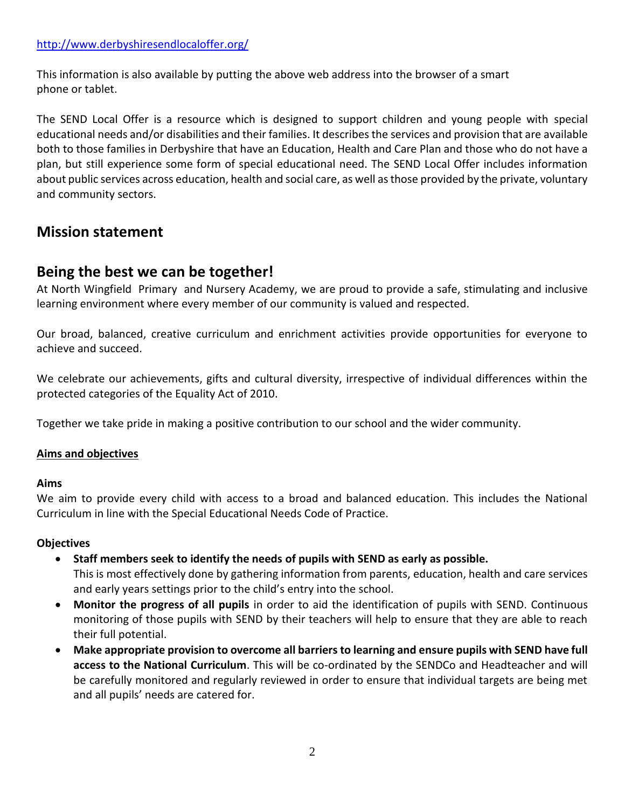This information is also available by putting the above web address into the browser of a smart phone or tablet.

The SEND Local Offer is a resource which is designed to support children and young people with special educational needs and/or disabilities and their families. It describes the services and provision that are available both to those families in Derbyshire that have an Education, Health and Care Plan and those who do not have a plan, but still experience some form of special educational need. The SEND Local Offer includes information about public services across education, health and social care, as well as those provided by the private, voluntary and community sectors.

# **Mission statement**

# **Being the best we can be together!**

At North Wingfield Primary and Nursery Academy, we are proud to provide a safe, stimulating and inclusive learning environment where every member of our community is valued and respected.

Our broad, balanced, creative curriculum and enrichment activities provide opportunities for everyone to achieve and succeed.

We celebrate our achievements, gifts and cultural diversity, irrespective of individual differences within the protected categories of the Equality Act of 2010.

Together we take pride in making a positive contribution to our school and the wider community.

# **Aims and objectives**

# **Aims**

We aim to provide every child with access to a broad and balanced education. This includes the National Curriculum in line with the Special Educational Needs Code of Practice.

# **Objectives**

- **Staff members seek to identify the needs of pupils with SEND as early as possible.** This is most effectively done by gathering information from parents, education, health and care services and early years settings prior to the child's entry into the school.
- **Monitor the progress of all pupils** in order to aid the identification of pupils with SEND. Continuous monitoring of those pupils with SEND by their teachers will help to ensure that they are able to reach their full potential.
- **Make appropriate provision to overcome all barriers to learning and ensure pupils with SEND have full access to the National Curriculum**. This will be co-ordinated by the SENDCo and Headteacher and will be carefully monitored and regularly reviewed in order to ensure that individual targets are being met and all pupils' needs are catered for.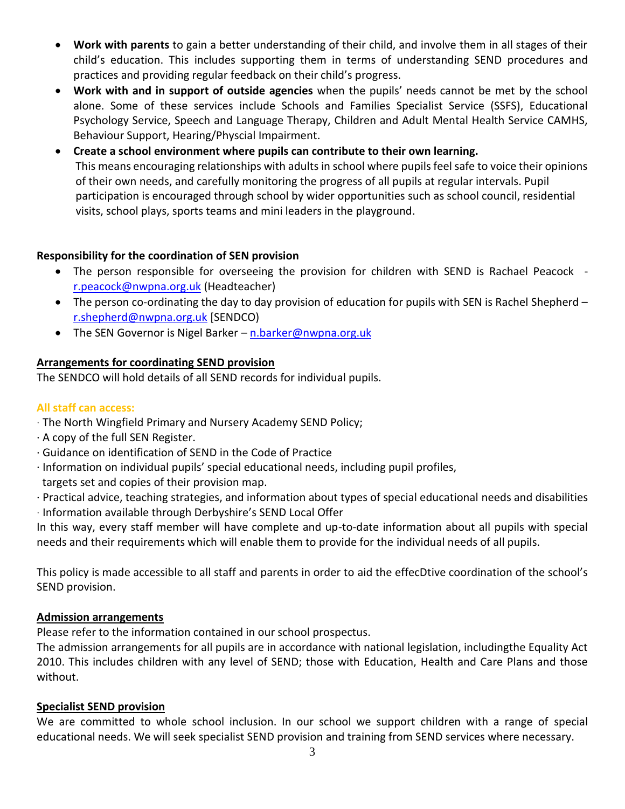- **Work with parents** to gain a better understanding of their child, and involve them in all stages of their child's education. This includes supporting them in terms of understanding SEND procedures and practices and providing regular feedback on their child's progress.
- **Work with and in support of outside agencies** when the pupils' needs cannot be met by the school alone. Some of these services include Schools and Families Specialist Service (SSFS), Educational Psychology Service, Speech and Language Therapy, Children and Adult Mental Health Service CAMHS, Behaviour Support, Hearing/Physcial Impairment.
- **Create a school environment where pupils can contribute to their own learning.** This means encouraging relationships with adults in school where pupils feel safe to voice their opinions of their own needs, and carefully monitoring the progress of all pupils at regular intervals. Pupil participation is encouraged through school by wider opportunities such as school council, residential visits, school plays, sports teams and mini leaders in the playground.

# **Responsibility for the coordination of SEN provision**

- The person responsible for overseeing the provision for children with SEND is Rachael Peacock [r.peacock@nwpna.org.uk](mailto:r.peacock@nwpna.org.uk) (Headteacher)
- The person co-ordinating the day to day provision of education for pupils with SEN is Rachel Shepherd [r.shepherd@nwpna.org.uk](mailto:r.shepherd@nwpna.org.uk) [SENDCO)
- The SEN Governor is Nigel Barker [n.barker@nwpna.org.uk](mailto:n.barker@nwpna.org.uk)

# **Arrangements for coordinating SEND provision**

The SENDCO will hold details of all SEND records for individual pupils.

# **All staff can access:**

- · The North Wingfield Primary and Nursery Academy SEND Policy;
- · A copy of the full SEN Register.
- · Guidance on identification of SEND in the Code of Practice
- · Information on individual pupils' special educational needs, including pupil profiles,
- targets set and copies of their provision map.
- · Practical advice, teaching strategies, and information about types of special educational needs and disabilities
- · Information available through Derbyshire's SEND Local Offer

In this way, every staff member will have complete and up-to-date information about all pupils with special needs and their requirements which will enable them to provide for the individual needs of all pupils.

This policy is made accessible to all staff and parents in order to aid the effecDtive coordination of the school's SEND provision.

# **Admission arrangements**

Please refer to the information contained in our school prospectus.

The admission arrangements for all pupils are in accordance with national legislation, includingthe Equality Act 2010. This includes children with any level of SEND; those with Education, Health and Care Plans and those without.

# **Specialist SEND provision**

We are committed to whole school inclusion. In our school we support children with a range of special educational needs. We will seek specialist SEND provision and training from SEND services where necessary.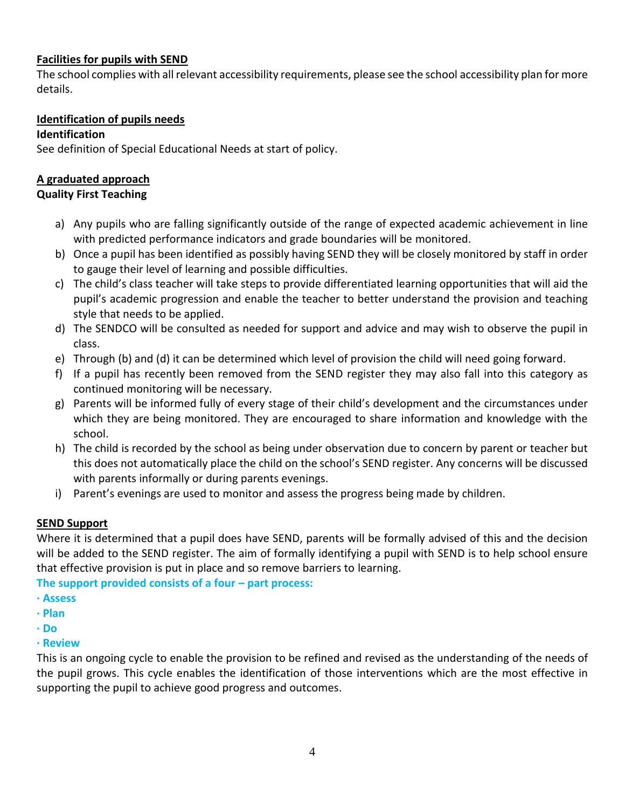# **Facilities for pupils with SEND**

The school complies with all relevant accessibility requirements, please see the school accessibility plan for more details.

# **Identification of pupils needs**

## **Identification**

See definition of Special Educational Needs at start of policy.

# **A graduated approach**

## **Quality First Teaching**

- a) Any pupils who are falling significantly outside of the range of expected academic achievement in line with predicted performance indicators and grade boundaries will be monitored.
- b) Once a pupil has been identified as possibly having SEND they will be closely monitored by staff in order to gauge their level of learning and possible difficulties.
- c) The child's class teacher will take steps to provide differentiated learning opportunities that will aid the pupil's academic progression and enable the teacher to better understand the provision and teaching style that needs to be applied.
- d) The SENDCO will be consulted as needed for support and advice and may wish to observe the pupil in class.
- e) Through (b) and (d) it can be determined which level of provision the child will need going forward.
- f) If a pupil has recently been removed from the SEND register they may also fall into this category as continued monitoring will be necessary.
- g) Parents will be informed fully of every stage of their child's development and the circumstances under which they are being monitored. They are encouraged to share information and knowledge with the school.
- h) The child is recorded by the school as being under observation due to concern by parent or teacher but this does not automatically place the child on the school's SEND register. Any concerns will be discussed with parents informally or during parents evenings.
- i) Parent's evenings are used to monitor and assess the progress being made by children.

# **SEND Support**

Where it is determined that a pupil does have SEND, parents will be formally advised of this and the decision will be added to the SEND register. The aim of formally identifying a pupil with SEND is to help school ensure that effective provision is put in place and so remove barriers to learning.

**The support provided consists of a four – part process:** 

- **· Assess**
- **· Plan**
- **· Do**
- **· Review**

This is an ongoing cycle to enable the provision to be refined and revised as the understanding of the needs of the pupil grows. This cycle enables the identification of those interventions which are the most effective in supporting the pupil to achieve good progress and outcomes.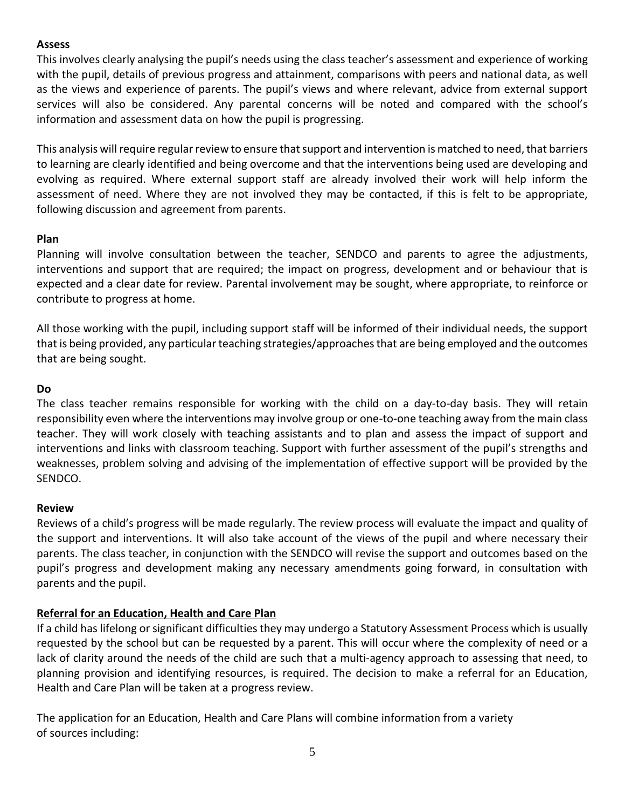#### **Assess**

This involves clearly analysing the pupil's needs using the class teacher's assessment and experience of working with the pupil, details of previous progress and attainment, comparisons with peers and national data, as well as the views and experience of parents. The pupil's views and where relevant, advice from external support services will also be considered. Any parental concerns will be noted and compared with the school's information and assessment data on how the pupil is progressing.

This analysis will require regular review to ensure that support and intervention is matched to need, that barriers to learning are clearly identified and being overcome and that the interventions being used are developing and evolving as required. Where external support staff are already involved their work will help inform the assessment of need. Where they are not involved they may be contacted, if this is felt to be appropriate, following discussion and agreement from parents.

#### **Plan**

Planning will involve consultation between the teacher, SENDCO and parents to agree the adjustments, interventions and support that are required; the impact on progress, development and or behaviour that is expected and a clear date for review. Parental involvement may be sought, where appropriate, to reinforce or contribute to progress at home.

All those working with the pupil, including support staff will be informed of their individual needs, the support that is being provided, any particular teaching strategies/approaches that are being employed and the outcomes that are being sought.

#### **Do**

The class teacher remains responsible for working with the child on a day-to-day basis. They will retain responsibility even where the interventions may involve group or one-to-one teaching away from the main class teacher. They will work closely with teaching assistants and to plan and assess the impact of support and interventions and links with classroom teaching. Support with further assessment of the pupil's strengths and weaknesses, problem solving and advising of the implementation of effective support will be provided by the SENDCO.

# **Review**

Reviews of a child's progress will be made regularly. The review process will evaluate the impact and quality of the support and interventions. It will also take account of the views of the pupil and where necessary their parents. The class teacher, in conjunction with the SENDCO will revise the support and outcomes based on the pupil's progress and development making any necessary amendments going forward, in consultation with parents and the pupil.

# **Referral for an Education, Health and Care Plan**

If a child has lifelong or significant difficulties they may undergo a Statutory Assessment Process which is usually requested by the school but can be requested by a parent. This will occur where the complexity of need or a lack of clarity around the needs of the child are such that a multi-agency approach to assessing that need, to planning provision and identifying resources, is required. The decision to make a referral for an Education, Health and Care Plan will be taken at a progress review.

The application for an Education, Health and Care Plans will combine information from a variety of sources including: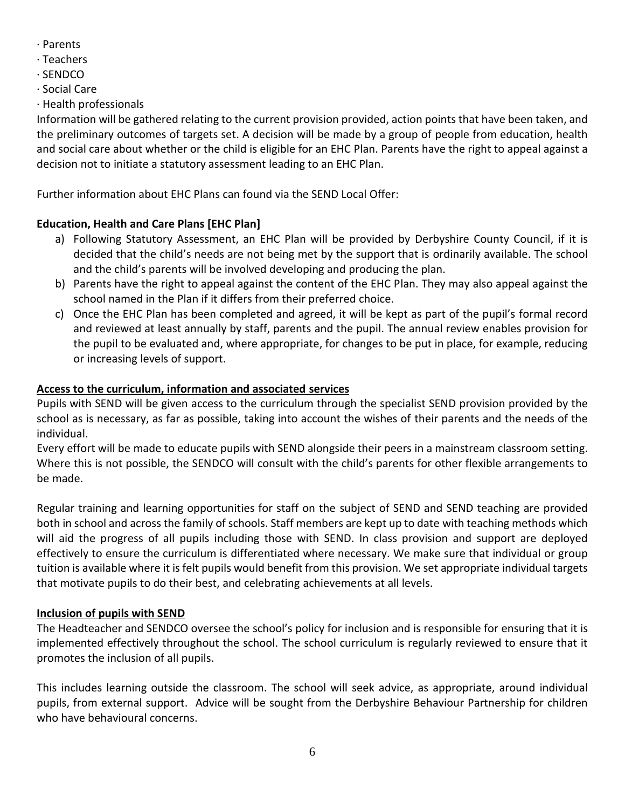- · Parents
- · Teachers
- · SENDCO
- · Social Care
- · Health professionals

Information will be gathered relating to the current provision provided, action points that have been taken, and the preliminary outcomes of targets set. A decision will be made by a group of people from education, health and social care about whether or the child is eligible for an EHC Plan. Parents have the right to appeal against a decision not to initiate a statutory assessment leading to an EHC Plan.

Further information about EHC Plans can found via the SEND Local Offer:

# **Education, Health and Care Plans [EHC Plan]**

- a) Following Statutory Assessment, an EHC Plan will be provided by Derbyshire County Council, if it is decided that the child's needs are not being met by the support that is ordinarily available. The school and the child's parents will be involved developing and producing the plan.
- b) Parents have the right to appeal against the content of the EHC Plan. They may also appeal against the school named in the Plan if it differs from their preferred choice.
- c) Once the EHC Plan has been completed and agreed, it will be kept as part of the pupil's formal record and reviewed at least annually by staff, parents and the pupil. The annual review enables provision for the pupil to be evaluated and, where appropriate, for changes to be put in place, for example, reducing or increasing levels of support.

# **Access to the curriculum, information and associated services**

Pupils with SEND will be given access to the curriculum through the specialist SEND provision provided by the school as is necessary, as far as possible, taking into account the wishes of their parents and the needs of the individual.

Every effort will be made to educate pupils with SEND alongside their peers in a mainstream classroom setting. Where this is not possible, the SENDCO will consult with the child's parents for other flexible arrangements to be made.

Regular training and learning opportunities for staff on the subject of SEND and SEND teaching are provided both in school and across the family of schools. Staff members are kept up to date with teaching methods which will aid the progress of all pupils including those with SEND. In class provision and support are deployed effectively to ensure the curriculum is differentiated where necessary. We make sure that individual or group tuition is available where it is felt pupils would benefit from this provision. We set appropriate individual targets that motivate pupils to do their best, and celebrating achievements at all levels.

# **Inclusion of pupils with SEND**

The Headteacher and SENDCO oversee the school's policy for inclusion and is responsible for ensuring that it is implemented effectively throughout the school. The school curriculum is regularly reviewed to ensure that it promotes the inclusion of all pupils.

This includes learning outside the classroom. The school will seek advice, as appropriate, around individual pupils, from external support. Advice will be sought from the Derbyshire Behaviour Partnership for children who have behavioural concerns.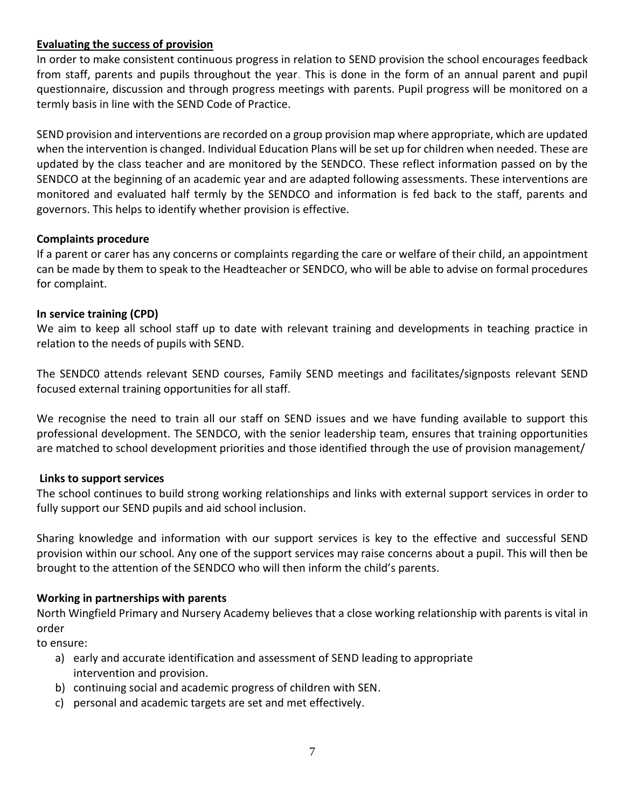# **Evaluating the success of provision**

In order to make consistent continuous progress in relation to SEND provision the school encourages feedback from staff, parents and pupils throughout the year. This is done in the form of an annual parent and pupil questionnaire, discussion and through progress meetings with parents. Pupil progress will be monitored on a termly basis in line with the SEND Code of Practice.

SEND provision and interventions are recorded on a group provision map where appropriate, which are updated when the intervention is changed. Individual Education Plans will be set up for children when needed. These are updated by the class teacher and are monitored by the SENDCO. These reflect information passed on by the SENDCO at the beginning of an academic year and are adapted following assessments. These interventions are monitored and evaluated half termly by the SENDCO and information is fed back to the staff, parents and governors. This helps to identify whether provision is effective.

#### **Complaints procedure**

If a parent or carer has any concerns or complaints regarding the care or welfare of their child, an appointment can be made by them to speak to the Headteacher or SENDCO, who will be able to advise on formal procedures for complaint.

#### **In service training (CPD)**

We aim to keep all school staff up to date with relevant training and developments in teaching practice in relation to the needs of pupils with SEND.

The SENDC0 attends relevant SEND courses, Family SEND meetings and facilitates/signposts relevant SEND focused external training opportunities for all staff.

We recognise the need to train all our staff on SEND issues and we have funding available to support this professional development. The SENDCO, with the senior leadership team, ensures that training opportunities are matched to school development priorities and those identified through the use of provision management/

#### **Links to support services**

The school continues to build strong working relationships and links with external support services in order to fully support our SEND pupils and aid school inclusion.

Sharing knowledge and information with our support services is key to the effective and successful SEND provision within our school. Any one of the support services may raise concerns about a pupil. This will then be brought to the attention of the SENDCO who will then inform the child's parents.

# **Working in partnerships with parents**

North Wingfield Primary and Nursery Academy believes that a close working relationship with parents is vital in order

to ensure:

- a) early and accurate identification and assessment of SEND leading to appropriate intervention and provision.
- b) continuing social and academic progress of children with SEN.
- c) personal and academic targets are set and met effectively.